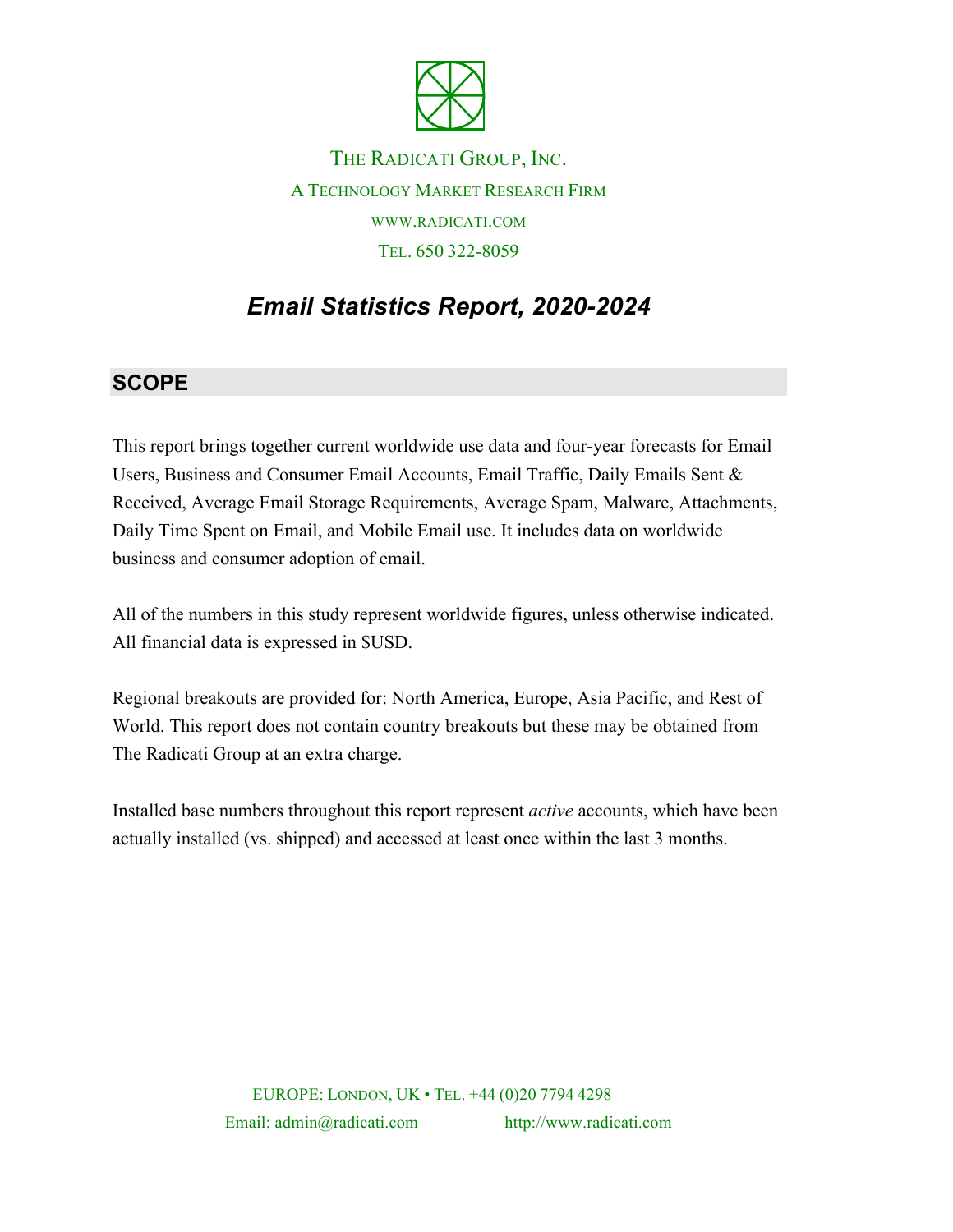

THE RADICATI GROUP, INC. A TECHNOLOGY MARKET RESEARCH FIRM WWW.RADICATI.COM TEL. 650 322-8059

# *Email Statistics Report, 2020-2024*

### **SCOPE**

This report brings together current worldwide use data and four-year forecasts for Email Users, Business and Consumer Email Accounts, Email Traffic, Daily Emails Sent & Received, Average Email Storage Requirements, Average Spam, Malware, Attachments, Daily Time Spent on Email, and Mobile Email use. It includes data on worldwide business and consumer adoption of email.

All of the numbers in this study represent worldwide figures, unless otherwise indicated. All financial data is expressed in \$USD.

Regional breakouts are provided for: North America, Europe, Asia Pacific, and Rest of World. This report does not contain country breakouts but these may be obtained from The Radicati Group at an extra charge.

Installed base numbers throughout this report represent *active* accounts, which have been actually installed (vs. shipped) and accessed at least once within the last 3 months.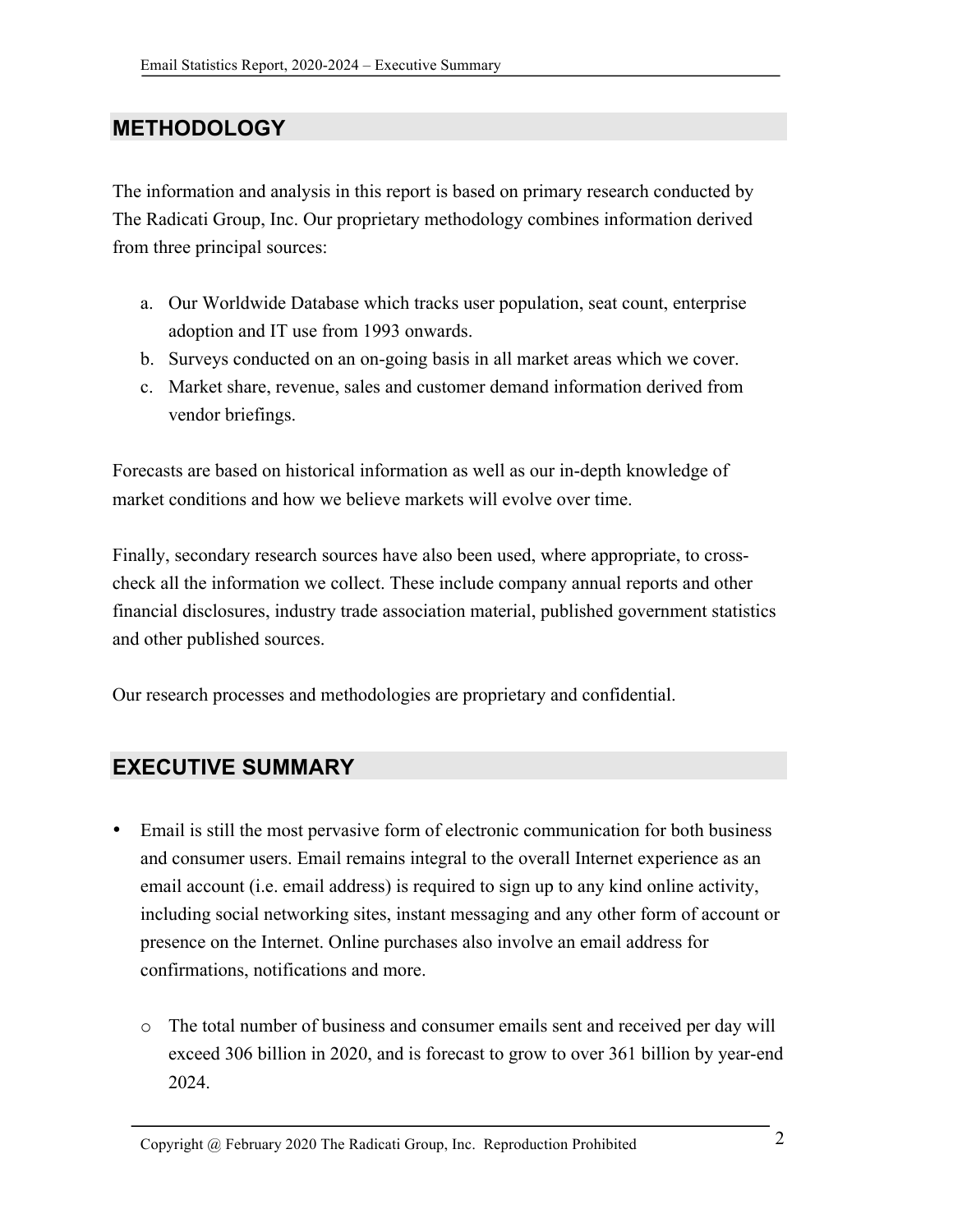## **METHODOLOGY**

The information and analysis in this report is based on primary research conducted by The Radicati Group, Inc. Our proprietary methodology combines information derived from three principal sources:

- a. Our Worldwide Database which tracks user population, seat count, enterprise adoption and IT use from 1993 onwards.
- b. Surveys conducted on an on-going basis in all market areas which we cover.
- c. Market share, revenue, sales and customer demand information derived from vendor briefings.

Forecasts are based on historical information as well as our in-depth knowledge of market conditions and how we believe markets will evolve over time.

Finally, secondary research sources have also been used, where appropriate, to crosscheck all the information we collect. These include company annual reports and other financial disclosures, industry trade association material, published government statistics and other published sources.

Our research processes and methodologies are proprietary and confidential.

### **EXECUTIVE SUMMARY**

- Email is still the most pervasive form of electronic communication for both business and consumer users. Email remains integral to the overall Internet experience as an email account (i.e. email address) is required to sign up to any kind online activity, including social networking sites, instant messaging and any other form of account or presence on the Internet. Online purchases also involve an email address for confirmations, notifications and more.
	- o The total number of business and consumer emails sent and received per day will exceed 306 billion in 2020, and is forecast to grow to over 361 billion by year-end 2024.